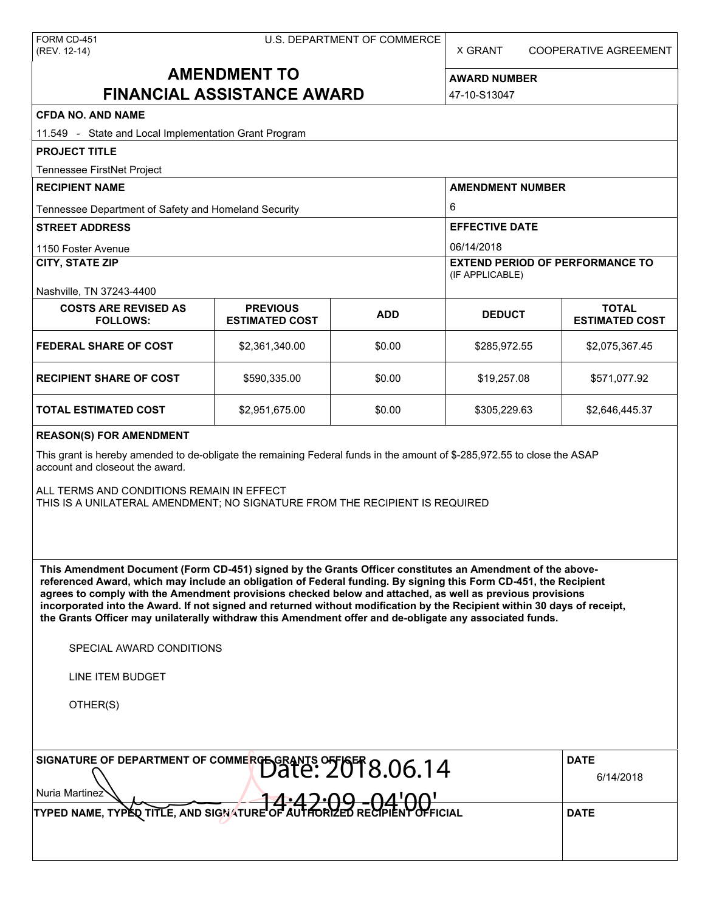X GRANT COOPERATIVE AGREEMENT

# **AMENDMENT TO FINANCIAL ASSISTANCE AWARD**

**AWARD NUMBER** 47-10-S13047

| <b>CFDA NO. AND NAME</b>                                                                                                                                                                                                                                                                                                                                                                                                                                                                                                                                                                                                                      |                                          |            |                                                                     |                                       |  |  |  |
|-----------------------------------------------------------------------------------------------------------------------------------------------------------------------------------------------------------------------------------------------------------------------------------------------------------------------------------------------------------------------------------------------------------------------------------------------------------------------------------------------------------------------------------------------------------------------------------------------------------------------------------------------|------------------------------------------|------------|---------------------------------------------------------------------|---------------------------------------|--|--|--|
| 11.549 - State and Local Implementation Grant Program                                                                                                                                                                                                                                                                                                                                                                                                                                                                                                                                                                                         |                                          |            |                                                                     |                                       |  |  |  |
| <b>PROJECT TITLE</b>                                                                                                                                                                                                                                                                                                                                                                                                                                                                                                                                                                                                                          |                                          |            |                                                                     |                                       |  |  |  |
| Tennessee FirstNet Project                                                                                                                                                                                                                                                                                                                                                                                                                                                                                                                                                                                                                    |                                          |            |                                                                     |                                       |  |  |  |
| <b>RECIPIENT NAME</b>                                                                                                                                                                                                                                                                                                                                                                                                                                                                                                                                                                                                                         |                                          |            | <b>AMENDMENT NUMBER</b><br>6<br><b>EFFECTIVE DATE</b><br>06/14/2018 |                                       |  |  |  |
| Tennessee Department of Safety and Homeland Security                                                                                                                                                                                                                                                                                                                                                                                                                                                                                                                                                                                          |                                          |            |                                                                     |                                       |  |  |  |
| <b>STREET ADDRESS</b>                                                                                                                                                                                                                                                                                                                                                                                                                                                                                                                                                                                                                         |                                          |            |                                                                     |                                       |  |  |  |
| 1150 Foster Avenue                                                                                                                                                                                                                                                                                                                                                                                                                                                                                                                                                                                                                            |                                          |            |                                                                     |                                       |  |  |  |
| <b>CITY, STATE ZIP</b>                                                                                                                                                                                                                                                                                                                                                                                                                                                                                                                                                                                                                        |                                          |            | <b>EXTEND PERIOD OF PERFORMANCE TO</b><br>(IF APPLICABLE)           |                                       |  |  |  |
| Nashville, TN 37243-4400                                                                                                                                                                                                                                                                                                                                                                                                                                                                                                                                                                                                                      |                                          |            |                                                                     |                                       |  |  |  |
| <b>COSTS ARE REVISED AS</b><br><b>FOLLOWS:</b>                                                                                                                                                                                                                                                                                                                                                                                                                                                                                                                                                                                                | <b>PREVIOUS</b><br><b>ESTIMATED COST</b> | <b>ADD</b> | <b>DEDUCT</b>                                                       | <b>TOTAL</b><br><b>ESTIMATED COST</b> |  |  |  |
| <b>FEDERAL SHARE OF COST</b>                                                                                                                                                                                                                                                                                                                                                                                                                                                                                                                                                                                                                  | \$2,361,340.00                           | \$0.00     | \$285,972.55                                                        | \$2,075,367.45                        |  |  |  |
| <b>RECIPIENT SHARE OF COST</b>                                                                                                                                                                                                                                                                                                                                                                                                                                                                                                                                                                                                                | \$590,335.00                             | \$0.00     | \$19,257.08                                                         | \$571,077.92                          |  |  |  |
| <b>TOTAL ESTIMATED COST</b>                                                                                                                                                                                                                                                                                                                                                                                                                                                                                                                                                                                                                   | \$2,951,675.00                           | \$0.00     | \$305,229.63                                                        | \$2,646,445.37                        |  |  |  |
| <b>REASON(S) FOR AMENDMENT</b>                                                                                                                                                                                                                                                                                                                                                                                                                                                                                                                                                                                                                |                                          |            |                                                                     |                                       |  |  |  |
| This grant is hereby amended to de-obligate the remaining Federal funds in the amount of \$-285,972.55 to close the ASAP<br>account and closeout the award.                                                                                                                                                                                                                                                                                                                                                                                                                                                                                   |                                          |            |                                                                     |                                       |  |  |  |
| ALL TERMS AND CONDITIONS REMAIN IN EFFECT<br>THIS IS A UNILATERAL AMENDMENT; NO SIGNATURE FROM THE RECIPIENT IS REQUIRED                                                                                                                                                                                                                                                                                                                                                                                                                                                                                                                      |                                          |            |                                                                     |                                       |  |  |  |
| This Amendment Document (Form CD-451) signed by the Grants Officer constitutes an Amendment of the above-<br>referenced Award, which may include an obligation of Federal funding. By signing this Form CD-451, the Recipient<br>agrees to comply with the Amendment provisions checked below and attached, as well as previous provisions<br>incorporated into the Award. If not signed and returned without modification by the Recipient within 30 days of receipt,<br>the Grants Officer may unilaterally withdraw this Amendment offer and de-obligate any associated funds.<br>SPECIAL AWARD CONDITIONS<br>LINE ITEM BUDGET<br>OTHER(S) |                                          |            |                                                                     |                                       |  |  |  |
| SIGNATURE OF DEPARTMENT OF COMMERGE GRANTS OF AST 8.06.14                                                                                                                                                                                                                                                                                                                                                                                                                                                                                                                                                                                     |                                          |            |                                                                     | <b>DATE</b>                           |  |  |  |
|                                                                                                                                                                                                                                                                                                                                                                                                                                                                                                                                                                                                                                               | 6/14/2018                                |            |                                                                     |                                       |  |  |  |
| Nuria Martinez                                                                                                                                                                                                                                                                                                                                                                                                                                                                                                                                                                                                                                |                                          |            |                                                                     |                                       |  |  |  |
| TYPED NAME, TYPED TITLE, AND SIGNATURE OF AUTH                                                                                                                                                                                                                                                                                                                                                                                                                                                                                                                                                                                                |                                          |            |                                                                     | <b>DATE</b>                           |  |  |  |
|                                                                                                                                                                                                                                                                                                                                                                                                                                                                                                                                                                                                                                               |                                          |            |                                                                     |                                       |  |  |  |